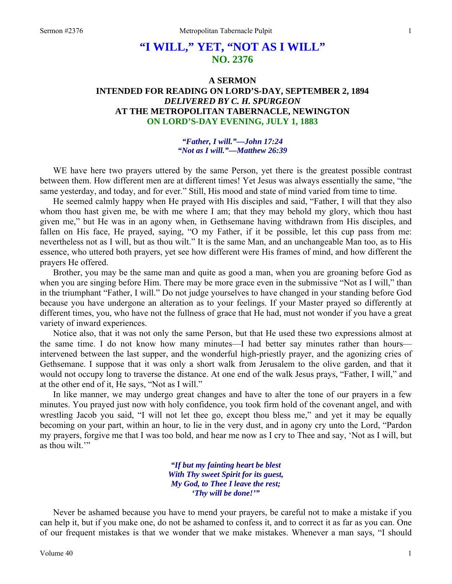# **"I WILL," YET, "NOT AS I WILL" NO. 2376**

## **A SERMON INTENDED FOR READING ON LORD'S-DAY, SEPTEMBER 2, 1894**  *DELIVERED BY C. H. SPURGEON*  **AT THE METROPOLITAN TABERNACLE, NEWINGTON ON LORD'S-DAY EVENING, JULY 1, 1883**

#### *"Father, I will."—John 17:24 "Not as I will."—Matthew 26:39*

WE have here two prayers uttered by the same Person, yet there is the greatest possible contrast between them. How different men are at different times! Yet Jesus was always essentially the same, "the same yesterday, and today, and for ever." Still, His mood and state of mind varied from time to time.

He seemed calmly happy when He prayed with His disciples and said, "Father, I will that they also whom thou hast given me, be with me where I am; that they may behold my glory, which thou hast given me," but He was in an agony when, in Gethsemane having withdrawn from His disciples, and fallen on His face, He prayed, saying, "O my Father, if it be possible, let this cup pass from me: nevertheless not as I will, but as thou wilt." It is the same Man, and an unchangeable Man too, as to His essence, who uttered both prayers, yet see how different were His frames of mind, and how different the prayers He offered.

Brother, you may be the same man and quite as good a man, when you are groaning before God as when you are singing before Him. There may be more grace even in the submissive "Not as I will," than in the triumphant "Father, I will." Do not judge yourselves to have changed in your standing before God because you have undergone an alteration as to your feelings. If your Master prayed so differently at different times, you, who have not the fullness of grace that He had, must not wonder if you have a great variety of inward experiences.

Notice also, that it was not only the same Person, but that He used these two expressions almost at the same time. I do not know how many minutes—I had better say minutes rather than hours intervened between the last supper, and the wonderful high-priestly prayer, and the agonizing cries of Gethsemane. I suppose that it was only a short walk from Jerusalem to the olive garden, and that it would not occupy long to traverse the distance. At one end of the walk Jesus prays, "Father, I will," and at the other end of it, He says, "Not as I will."

In like manner, we may undergo great changes and have to alter the tone of our prayers in a few minutes. You prayed just now with holy confidence, you took firm hold of the covenant angel, and with wrestling Jacob you said, "I will not let thee go, except thou bless me," and yet it may be equally becoming on your part, within an hour, to lie in the very dust, and in agony cry unto the Lord, "Pardon my prayers, forgive me that I was too bold, and hear me now as I cry to Thee and say, 'Not as I will, but as thou wilt."

> *"If but my fainting heart be blest With Thy sweet Spirit for its guest, My God, to Thee I leave the rest; 'Thy will be done!'"*

Never be ashamed because you have to mend your prayers, be careful not to make a mistake if you can help it, but if you make one, do not be ashamed to confess it, and to correct it as far as you can. One of our frequent mistakes is that we wonder that we make mistakes. Whenever a man says, "I should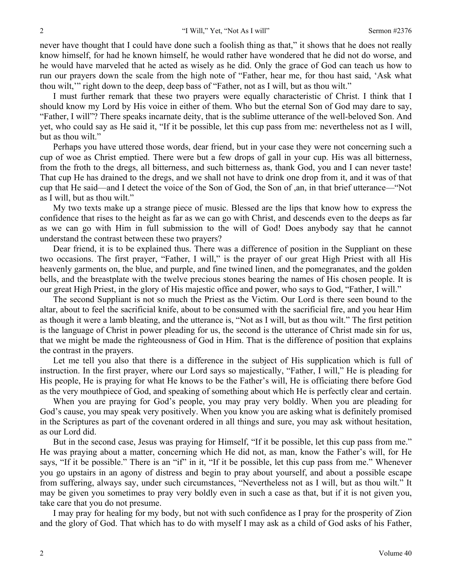never have thought that I could have done such a foolish thing as that," it shows that he does not really know himself, for had he known himself, he would rather have wondered that he did not do worse, and he would have marveled that he acted as wisely as he did. Only the grace of God can teach us how to run our prayers down the scale from the high note of "Father, hear me, for thou hast said, 'Ask what thou wilt,'" right down to the deep, deep bass of "Father, not as I will, but as thou wilt."

I must further remark that these two prayers were equally characteristic of Christ. I think that I should know my Lord by His voice in either of them. Who but the eternal Son of God may dare to say, "Father, I will"? There speaks incarnate deity, that is the sublime utterance of the well-beloved Son. And yet, who could say as He said it, "If it be possible, let this cup pass from me: nevertheless not as I will, but as thou wilt."

Perhaps you have uttered those words, dear friend, but in your case they were not concerning such a cup of woe as Christ emptied. There were but a few drops of gall in your cup. His was all bitterness, from the froth to the dregs, all bitterness, and such bitterness as, thank God, you and I can never taste! That cup He has drained to the dregs, and we shall not have to drink one drop from it, and it was of that cup that He said—and I detect the voice of the Son of God, the Son of ,an, in that brief utterance—"Not as I will, but as thou wilt."

My two texts make up a strange piece of music. Blessed are the lips that know how to express the confidence that rises to the height as far as we can go with Christ, and descends even to the deeps as far as we can go with Him in full submission to the will of God! Does anybody say that he cannot understand the contrast between these two prayers?

Dear friend, it is to be explained thus. There was a difference of position in the Suppliant on these two occasions. The first prayer, "Father, I will," is the prayer of our great High Priest with all His heavenly garments on, the blue, and purple, and fine twined linen, and the pomegranates, and the golden bells, and the breastplate with the twelve precious stones bearing the names of His chosen people. It is our great High Priest, in the glory of His majestic office and power, who says to God, "Father, I will."

The second Suppliant is not so much the Priest as the Victim. Our Lord is there seen bound to the altar, about to feel the sacrificial knife, about to be consumed with the sacrificial fire, and you hear Him as though it were a lamb bleating, and the utterance is, "Not as I will, but as thou wilt." The first petition is the language of Christ in power pleading for us, the second is the utterance of Christ made sin for us, that we might be made the righteousness of God in Him. That is the difference of position that explains the contrast in the prayers.

Let me tell you also that there is a difference in the subject of His supplication which is full of instruction. In the first prayer, where our Lord says so majestically, "Father, I will," He is pleading for His people, He is praying for what He knows to be the Father's will, He is officiating there before God as the very mouthpiece of God, and speaking of something about which He is perfectly clear and certain.

When you are praying for God's people, you may pray very boldly. When you are pleading for God's cause, you may speak very positively. When you know you are asking what is definitely promised in the Scriptures as part of the covenant ordered in all things and sure, you may ask without hesitation, as our Lord did.

But in the second case, Jesus was praying for Himself, "If it be possible, let this cup pass from me." He was praying about a matter, concerning which He did not, as man, know the Father's will, for He says, "If it be possible." There is an "if" in it, "If it be possible, let this cup pass from me." Whenever you go upstairs in an agony of distress and begin to pray about yourself, and about a possible escape from suffering, always say, under such circumstances, "Nevertheless not as I will, but as thou wilt." It may be given you sometimes to pray very boldly even in such a case as that, but if it is not given you, take care that you do not presume.

I may pray for healing for my body, but not with such confidence as I pray for the prosperity of Zion and the glory of God. That which has to do with myself I may ask as a child of God asks of his Father,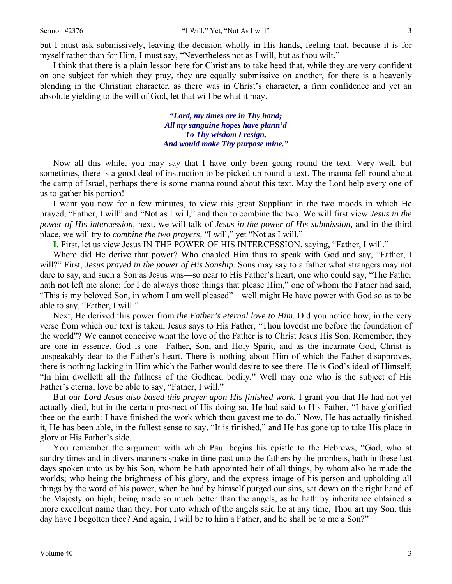but I must ask submissively, leaving the decision wholly in His hands, feeling that, because it is for myself rather than for Him, I must say, "Nevertheless not as I will, but as thou wilt."

I think that there is a plain lesson here for Christians to take heed that, while they are very confident on one subject for which they pray, they are equally submissive on another, for there is a heavenly blending in the Christian character, as there was in Christ's character, a firm confidence and yet an absolute yielding to the will of God, let that will be what it may.

> *"Lord, my times are in Thy hand; All my sanguine hopes have plann'd To Thy wisdom I resign, And would make Thy purpose mine."*

Now all this while, you may say that I have only been going round the text. Very well, but sometimes, there is a good deal of instruction to be picked up round a text. The manna fell round about the camp of Israel, perhaps there is some manna round about this text. May the Lord help every one of us to gather his portion!

I want you now for a few minutes, to view this great Suppliant in the two moods in which He prayed, "Father, I will" and "Not as I will," and then to combine the two. We will first view *Jesus in the power of His intercession,* next, we will talk of *Jesus in the power of His submission,* and in the third place, we will try to *combine the two prayers,* "I will," yet "Not as I will."

**I.** First, let us view Jesus IN THE POWER OF HIS INTERCESSION, saying, "Father, I will."

Where did He derive that power? Who enabled Him thus to speak with God and say, "Father, I will?" First, *Jesus prayed in the power of His Sonship.* Sons may say to a father what strangers may not dare to say, and such a Son as Jesus was—so near to His Father's heart, one who could say, "The Father hath not left me alone; for I do always those things that please Him," one of whom the Father had said, "This is my beloved Son, in whom I am well pleased"—well might He have power with God so as to be able to say, "Father, I will."

Next, He derived this power from *the Father's eternal love to Him*. Did you notice how, in the very verse from which our text is taken, Jesus says to His Father, "Thou lovedst me before the foundation of the world"? We cannot conceive what the love of the Father is to Christ Jesus His Son. Remember, they are one in essence. God is one—Father, Son, and Holy Spirit, and as the incarnate God, Christ is unspeakably dear to the Father's heart. There is nothing about Him of which the Father disapproves, there is nothing lacking in Him which the Father would desire to see there. He is God's ideal of Himself, "In him dwelleth all the fullness of the Godhead bodily." Well may one who is the subject of His Father's eternal love be able to say, "Father, I will."

But *our Lord Jesus also based this prayer upon His finished work.* I grant you that He had not yet actually died, but in the certain prospect of His doing so, He had said to His Father, "I have glorified thee on the earth: I have finished the work which thou gavest me to do." Now, He has actually finished it, He has been able, in the fullest sense to say, "It is finished," and He has gone up to take His place in glory at His Father's side.

You remember the argument with which Paul begins his epistle to the Hebrews, "God, who at sundry times and in divers manners spake in time past unto the fathers by the prophets, hath in these last days spoken unto us by his Son, whom he hath appointed heir of all things, by whom also he made the worlds; who being the brightness of his glory, and the express image of his person and upholding all things by the word of his power, when he had by himself purged our sins, sat down on the right hand of the Majesty on high; being made so much better than the angels, as he hath by inheritance obtained a more excellent name than they. For unto which of the angels said he at any time, Thou art my Son, this day have I begotten thee? And again, I will be to him a Father, and he shall be to me a Son?"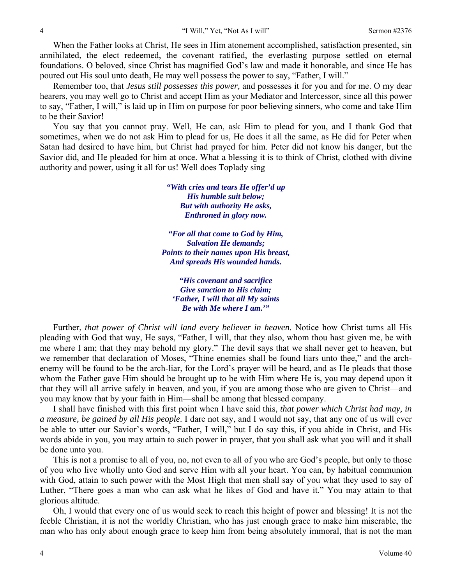When the Father looks at Christ, He sees in Him atonement accomplished, satisfaction presented, sin annihilated, the elect redeemed, the covenant ratified, the everlasting purpose settled on eternal foundations. O beloved, since Christ has magnified God's law and made it honorable, and since He has poured out His soul unto death, He may well possess the power to say, "Father, I will."

Remember too, that *Jesus still possesses this power,* and possesses it for you and for me. O my dear hearers, you may well go to Christ and accept Him as your Mediator and Intercessor, since all this power to say, "Father, I will," is laid up in Him on purpose for poor believing sinners, who come and take Him to be their Savior!

You say that you cannot pray. Well, He can, ask Him to plead for you, and I thank God that sometimes, when we do not ask Him to plead for us, He does it all the same, as He did for Peter when Satan had desired to have him, but Christ had prayed for him. Peter did not know his danger, but the Savior did, and He pleaded for him at once. What a blessing it is to think of Christ, clothed with divine authority and power, using it all for us! Well does Toplady sing—

> *"With cries and tears He offer'd up His humble suit below; But with authority He asks, Enthroned in glory now.*

*"For all that come to God by Him, Salvation He demands; Points to their names upon His breast, And spreads His wounded hands.* 

*"His covenant and sacrifice Give sanction to His claim; 'Father, I will that all My saints Be with Me where I am.'"* 

Further, *that power of Christ will land every believer in heaven.* Notice how Christ turns all His pleading with God that way, He says, "Father, I will, that they also, whom thou hast given me, be with me where I am; that they may behold my glory." The devil says that we shall never get to heaven, but we remember that declaration of Moses, "Thine enemies shall be found liars unto thee," and the archenemy will be found to be the arch-liar, for the Lord's prayer will be heard, and as He pleads that those whom the Father gave Him should be brought up to be with Him where He is, you may depend upon it that they will all arrive safely in heaven, and you, if you are among those who are given to Christ—and you may know that by your faith in Him—shall be among that blessed company.

I shall have finished with this first point when I have said this, *that power which Christ had may, in a measure, be gained by all His people*. I dare not say, and I would not say, that any one of us will ever be able to utter our Savior's words, "Father, I will," but I do say this, if you abide in Christ, and His words abide in you, you may attain to such power in prayer, that you shall ask what you will and it shall be done unto you.

This is not a promise to all of you, no, not even to all of you who are God's people, but only to those of you who live wholly unto God and serve Him with all your heart. You can, by habitual communion with God, attain to such power with the Most High that men shall say of you what they used to say of Luther, "There goes a man who can ask what he likes of God and have it." You may attain to that glorious altitude.

Oh, I would that every one of us would seek to reach this height of power and blessing! It is not the feeble Christian, it is not the worldly Christian, who has just enough grace to make him miserable, the man who has only about enough grace to keep him from being absolutely immoral, that is not the man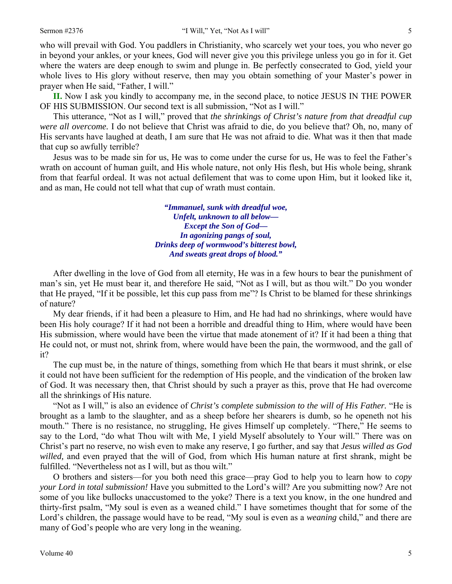who will prevail with God. You paddlers in Christianity, who scarcely wet your toes, you who never go in beyond your ankles, or your knees, God will never give you this privilege unless you go in for it. Get where the waters are deep enough to swim and plunge in. Be perfectly consecrated to God, yield your whole lives to His glory without reserve, then may you obtain something of your Master's power in prayer when He said, "Father, I will."

**II.** Now I ask you kindly to accompany me, in the second place, to notice JESUS IN THE POWER OF HIS SUBMISSION. Our second text is all submission, "Not as I will."

This utterance, "Not as I will," proved that *the shrinkings of Christ's nature from that dreadful cup were all overcome.* I do not believe that Christ was afraid to die, do you believe that? Oh, no, many of His servants have laughed at death, I am sure that He was not afraid to die. What was it then that made that cup so awfully terrible?

Jesus was to be made sin for us, He was to come under the curse for us, He was to feel the Father's wrath on account of human guilt, and His whole nature, not only His flesh, but His whole being, shrank from that fearful ordeal. It was not actual defilement that was to come upon Him, but it looked like it, and as man, He could not tell what that cup of wrath must contain.

> *"Immanuel, sunk with dreadful woe, Unfelt, unknown to all below— Except the Son of God— In agonizing pangs of soul, Drinks deep of wormwood's bitterest bowl, And sweats great drops of blood."*

After dwelling in the love of God from all eternity, He was in a few hours to bear the punishment of man's sin, yet He must bear it, and therefore He said, "Not as I will, but as thou wilt." Do you wonder that He prayed, "If it be possible, let this cup pass from me"? Is Christ to be blamed for these shrinkings of nature?

My dear friends, if it had been a pleasure to Him, and He had had no shrinkings, where would have been His holy courage? If it had not been a horrible and dreadful thing to Him, where would have been His submission, where would have been the virtue that made atonement of it? If it had been a thing that He could not, or must not, shrink from, where would have been the pain, the wormwood, and the gall of it?

The cup must be, in the nature of things, something from which He that bears it must shrink, or else it could not have been sufficient for the redemption of His people, and the vindication of the broken law of God. It was necessary then, that Christ should by such a prayer as this, prove that He had overcome all the shrinkings of His nature.

"Not as I will," is also an evidence of *Christ's complete submission to the will of His Father.* "He is brought as a lamb to the slaughter, and as a sheep before her shearers is dumb, so he openeth not his mouth." There is no resistance, no struggling, He gives Himself up completely. "There," He seems to say to the Lord, "do what Thou wilt with Me, I yield Myself absolutely to Your will." There was on Christ's part no reserve, no wish even to make any reserve, I go further, and say that *Jesus willed as God willed,* and even prayed that the will of God, from which His human nature at first shrank, might be fulfilled. "Nevertheless not as I will, but as thou wilt."

O brothers and sisters—for you both need this grace—pray God to help you to learn how to *copy your Lord in total submission!* Have you submitted to the Lord's will? Are you submitting now? Are not some of you like bullocks unaccustomed to the yoke? There is a text you know, in the one hundred and thirty-first psalm, "My soul is even as a weaned child." I have sometimes thought that for some of the Lord's children, the passage would have to be read, "My soul is even as a *weaning* child," and there are many of God's people who are very long in the weaning.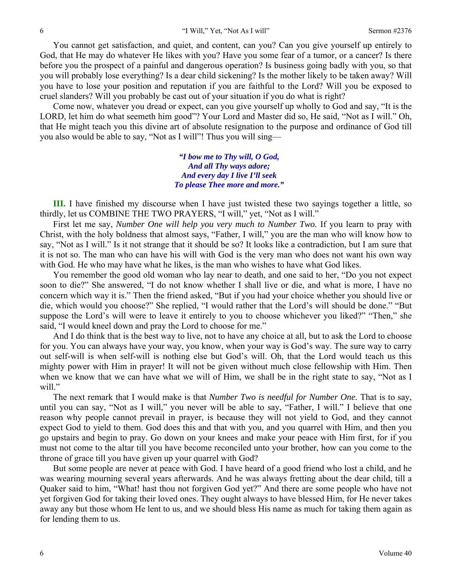You cannot get satisfaction, and quiet, and content, can you? Can you give yourself up entirely to God, that He may do whatever He likes with you? Have you some fear of a tumor, or a cancer? Is there before you the prospect of a painful and dangerous operation? Is business going badly with you, so that you will probably lose everything? Is a dear child sickening? Is the mother likely to be taken away? Will you have to lose your position and reputation if you are faithful to the Lord? Will you be exposed to cruel slanders? Will you probably be cast out of your situation if you do what is right?

Come now, whatever you dread or expect, can you give yourself up wholly to God and say, "It is the LORD, let him do what seemeth him good"? Your Lord and Master did so, He said, "Not as I will." Oh, that He might teach you this divine art of absolute resignation to the purpose and ordinance of God till you also would be able to say, "Not as I will"! Thus you will sing—

> *"I bow me to Thy will, O God, And all Thy ways adore; And every day I live I'll seek To please Thee more and more."*

**III.** I have finished my discourse when I have just twisted these two sayings together a little, so thirdly, let us COMBINE THE TWO PRAYERS, "I will," yet, "Not as I will."

First let me say, *Number One will help you very much to Number Two.* If you learn to pray with Christ, with the holy boldness that almost says, "Father, I will," you are the man who will know how to say, "Not as I will." Is it not strange that it should be so? It looks like a contradiction, but I am sure that it is not so. The man who can have his will with God is the very man who does not want his own way with God. He who may have what he likes, is the man who wishes to have what God likes.

You remember the good old woman who lay near to death, and one said to her, "Do you not expect soon to die?" She answered, "I do not know whether I shall live or die, and what is more, I have no concern which way it is." Then the friend asked, "But if you had your choice whether you should live or die, which would you choose?" She replied, "I would rather that the Lord's will should be done." "But suppose the Lord's will were to leave it entirely to you to choose whichever you liked?" "Then," she said, "I would kneel down and pray the Lord to choose for me."

And I do think that is the best way to live, not to have any choice at all, but to ask the Lord to choose for you. You can always have your way, you know, when your way is God's way. The sure way to carry out self-will is when self-will is nothing else but God's will. Oh, that the Lord would teach us this mighty power with Him in prayer! It will not be given without much close fellowship with Him. Then when we know that we can have what we will of Him, we shall be in the right state to say, "Not as I will."

The next remark that I would make is that *Number Two is needful for Number One.* That is to say, until you can say, "Not as I will," you never will be able to say, "Father, I will." I believe that one reason why people cannot prevail in prayer, is because they will not yield to God, and they cannot expect God to yield to them. God does this and that with you, and you quarrel with Him, and then you go upstairs and begin to pray. Go down on your knees and make your peace with Him first, for if you must not come to the altar till you have become reconciled unto your brother, how can you come to the throne of grace till you have given up your quarrel with God?

But some people are never at peace with God. I have heard of a good friend who lost a child, and he was wearing mourning several years afterwards. And he was always fretting about the dear child, till a Quaker said to him, "What! hast thou not forgiven God yet?" And there are some people who have not yet forgiven God for taking their loved ones. They ought always to have blessed Him, for He never takes away any but those whom He lent to us, and we should bless His name as much for taking them again as for lending them to us.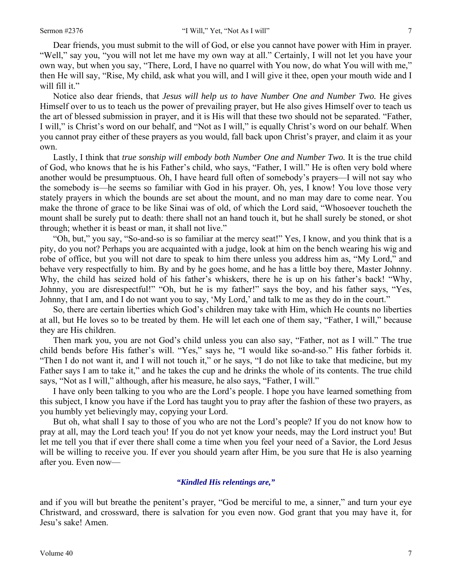Dear friends, you must submit to the will of God, or else you cannot have power with Him in prayer*.*  "Well," say you, "you will not let me have my own way at all." Certainly, I will not let you have your own way, but when you say, "There, Lord, I have no quarrel with You now, do what You will with me," then He will say, "Rise, My child, ask what you will, and I will give it thee, open your mouth wide and I will fill it."

Notice also dear friends, that *Jesus will help us to have Number One and Number Two.* He gives Himself over to us to teach us the power of prevailing prayer, but He also gives Himself over to teach us the art of blessed submission in prayer, and it is His will that these two should not be separated. "Father, I will," is Christ's word on our behalf, and "Not as I will," is equally Christ's word on our behalf. When you cannot pray either of these prayers as you would, fall back upon Christ's prayer, and claim it as your own.

Lastly, I think that *true sonship will embody both Number One and Number Two.* It is the true child of God, who knows that he is his Father's child, who says, "Father, I will." He is often very bold where another would be presumptuous. Oh, I have heard full often of somebody's prayers—I will not say who the somebody is—he seems so familiar with God in his prayer. Oh, yes, I know! You love those very stately prayers in which the bounds are set about the mount, and no man may dare to come near. You make the throne of grace to be like Sinai was of old, of which the Lord said, "Whosoever toucheth the mount shall be surely put to death: there shall not an hand touch it, but he shall surely be stoned, or shot through; whether it is beast or man, it shall not live."

"Oh, but," you say, "So-and-so is so familiar at the mercy seat!" Yes, I know, and you think that is a pity, do you not? Perhaps you are acquainted with a judge, look at him on the bench wearing his wig and robe of office, but you will not dare to speak to him there unless you address him as, "My Lord," and behave very respectfully to him. By and by he goes home, and he has a little boy there, Master Johnny. Why, the child has seized hold of his father's whiskers, there he is up on his father's back! "Why, Johnny, you are disrespectful!" "Oh, but he is my father!" says the boy, and his father says, "Yes, Johnny, that I am, and I do not want you to say, 'My Lord,' and talk to me as they do in the court."

So, there are certain liberties which God's children may take with Him, which He counts no liberties at all, but He loves so to be treated by them. He will let each one of them say, "Father, I will," because they are His children.

Then mark you, you are not God's child unless you can also say, "Father, not as I will." The true child bends before His father's will. "Yes," says he, "I would like so-and-so." His father forbids it. "Then I do not want it, and I will not touch it," or he says, "I do not like to take that medicine, but my Father says I am to take it," and he takes the cup and he drinks the whole of its contents. The true child says, "Not as I will," although, after his measure, he also says, "Father, I will."

I have only been talking to you who are the Lord's people. I hope you have learned something from this subject, I know you have if the Lord has taught you to pray after the fashion of these two prayers, as you humbly yet believingly may, copying your Lord.

But oh, what shall I say to those of you who are not the Lord's people? If you do not know how to pray at all, may the Lord teach you! If you do not yet know your needs, may the Lord instruct you! But let me tell you that if ever there shall come a time when you feel your need of a Savior, the Lord Jesus will be willing to receive you. If ever you should yearn after Him, be you sure that He is also yearning after you. Even now—

#### *"Kindled His relentings are,"*

and if you will but breathe the penitent's prayer, "God be merciful to me, a sinner," and turn your eye Christward, and crossward, there is salvation for you even now. God grant that you may have it, for Jesu's sake! Amen.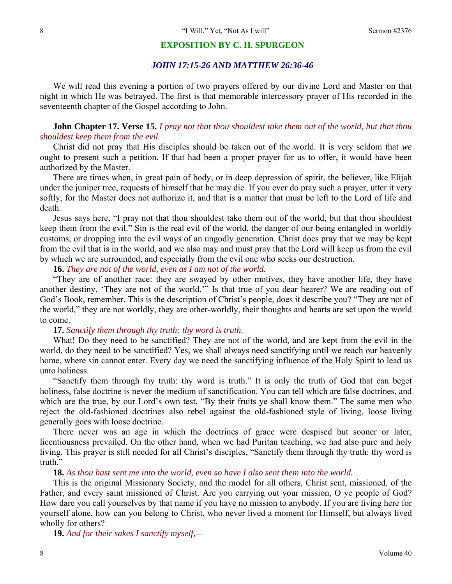#### **EXPOSITION BY C. H. SPURGEON**

### *JOHN 17:15-26 AND MATTHEW 26:36-46*

We will read this evening a portion of two prayers offered by our divine Lord and Master on that night in which He was betrayed. The first is that memorable intercessory prayer of His recorded in the seventeenth chapter of the Gospel according to John.

**John Chapter 17. Verse 15.** *I pray not that thou shouldest take them out of the world, but that thou shouldest keep them from the evil.* 

Christ did not pray that His disciples should be taken out of the world. It is very seldom that *we* ought to present such a petition. If that had been a proper prayer for us to offer, it would have been authorized by the Master.

There are times when, in great pain of body, or in deep depression of spirit, the believer, like Elijah under the juniper tree, requests of himself that he may die. If you ever do pray such a prayer, utter it very softly, for the Master does not authorize it, and that is a matter that must be left to the Lord of life and death.

Jesus says here, "I pray not that thou shouldest take them out of the world, but that thou shouldest keep them from the evil." Sin is the real evil of the world, the danger of our being entangled in worldly customs, or dropping into the evil ways of an ungodly generation. Christ does pray that we may be kept from the evil that is in the world, and we also may and must pray that the Lord will keep us from the evil by which we are surrounded, and especially from the evil one who seeks our destruction.

**16.** *They are not of the world, even as I am not of the world.* 

"They are of another race: they are swayed by other motives, they have another life, they have another destiny, 'They are not of the world.'" Is that true of you dear hearer? We are reading out of God's Book, remember. This is the description of Christ's people, does it describe you? "They are not of the world," they are not worldly, they are other-worldly, their thoughts and hearts are set upon the world to come.

#### **17.** *Sanctify them through thy truth: thy word is truth.*

What! Do they need to be sanctified? They are not of the world, and are kept from the evil in the world, do they need to be sanctified? Yes, we shall always need sanctifying until we reach our heavenly home, where sin cannot enter. Every day we need the sanctifying influence of the Holy Spirit to lead us unto holiness.

"Sanctify them through thy truth: thy word is truth." It is only the truth of God that can beget holiness, false doctrine is never the medium of sanctification. You can tell which are false doctrines, and which are the true, by our Lord's own test, "By their fruits ye shall know them." The same men who reject the old-fashioned doctrines also rebel against the old-fashioned style of living, loose living generally goes with loose doctrine.

There never was an age in which the doctrines of grace were despised but sooner or later, licentiousness prevailed. On the other hand, when we had Puritan teaching, we had also pure and holy living. This prayer is still needed for all Christ's disciples, "Sanctify them through thy truth: thy word is truth."

#### **18.** *As thou hast sent me into the world, even so have I also sent them into the world.*

This is the original Missionary Society, and the model for all others, Christ sent, missioned, of the Father, and every saint missioned of Christ. Are you carrying out your mission, O ye people of God? How dare you call yourselves by that name if you have no mission to anybody. If you are living here for yourself alone, how can you belong to Christ, who never lived a moment for Himself, but always lived wholly for others?

**19.** *And for their sakes I sanctify myself,—*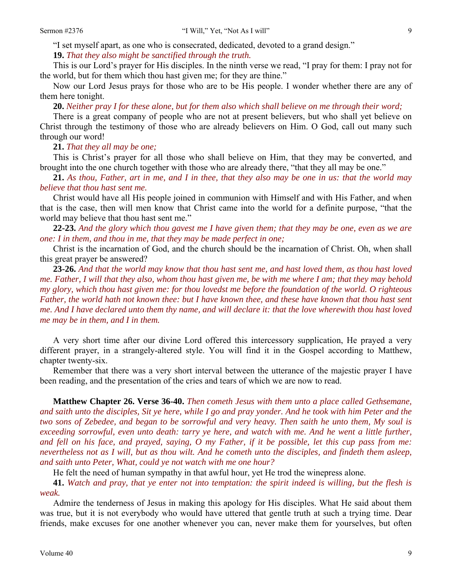"I set myself apart, as one who is consecrated, dedicated, devoted to a grand design."

**19.** *That they also might be sanctified through the truth.* 

This is our Lord's prayer for His disciples. In the ninth verse we read, "I pray for them: I pray not for the world, but for them which thou hast given me; for they are thine."

Now our Lord Jesus prays for those who are to be His people. I wonder whether there are any of them here tonight.

**20.** *Neither pray I for these alone, but for them also which shall believe on me through their word;* 

There is a great company of people who are not at present believers, but who shall yet believe on Christ through the testimony of those who are already believers on Him. O God, call out many such through our word!

**21.** *That they all may be one;* 

This is Christ's prayer for all those who shall believe on Him, that they may be converted, and brought into the one church together with those who are already there, "that they all may be one."

**21.** *As thou, Father, art in me, and I in thee, that they also may be one in us: that the world may believe that thou hast sent me.* 

Christ would have all His people joined in communion with Himself and with His Father, and when that is the case, then will men know that Christ came into the world for a definite purpose, "that the world may believe that thou hast sent me."

**22-23.** *And the glory which thou gavest me I have given them; that they may be one, even as we are one: I in them, and thou in me, that they may be made perfect in one;* 

Christ is the incarnation of God, and the church should be the incarnation of Christ. Oh, when shall this great prayer be answered?

**23-26.** *And that the world may know that thou hast sent me, and hast loved them, as thou hast loved me. Father, I will that they also, whom thou hast given me, be with me where I am; that they may behold my glory, which thou hast given me: for thou lovedst me before the foundation of the world. O righteous Father, the world hath not known thee: but I have known thee, and these have known that thou hast sent me. And I have declared unto them thy name, and will declare it: that the love wherewith thou hast loved me may be in them, and I in them.* 

A very short time after our divine Lord offered this intercessory supplication, He prayed a very different prayer, in a strangely-altered style. You will find it in the Gospel according to Matthew, chapter twenty-six.

Remember that there was a very short interval between the utterance of the majestic prayer I have been reading, and the presentation of the cries and tears of which we are now to read.

**Matthew Chapter 26. Verse 36-40.** *Then cometh Jesus with them unto a place called Gethsemane, and saith unto the disciples, Sit ye here, while I go and pray yonder. And he took with him Peter and the two sons of Zebedee, and began to be sorrowful and very heavy. Then saith he unto them, My soul is exceeding sorrowful, even unto death: tarry ye here, and watch with me. And he went a little further, and fell on his face, and prayed, saying, O my Father, if it be possible, let this cup pass from me: nevertheless not as I will, but as thou wilt. And he cometh unto the disciples, and findeth them asleep, and saith unto Peter, What, could ye not watch with me one hour?* 

He felt the need of human sympathy in that awful hour, yet He trod the winepress alone.

**41.** *Watch and pray, that ye enter not into temptation: the spirit indeed is willing, but the flesh is weak.* 

Admire the tenderness of Jesus in making this apology for His disciples. What He said about them was true, but it is not everybody who would have uttered that gentle truth at such a trying time. Dear friends, make excuses for one another whenever you can, never make them for yourselves, but often